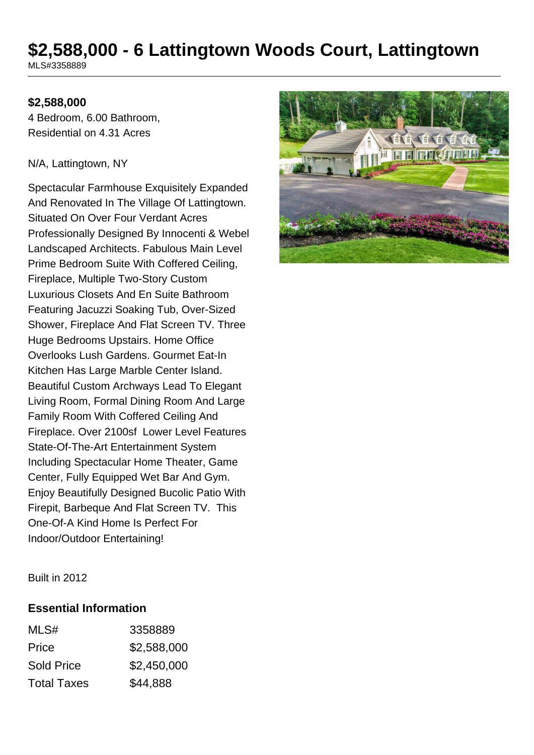# **\$2,588,000 - 6 Lattingtown Woods Court, Lattingtown**

MLS#3358889

## **\$2,588,000**

4 Bedroom, 6.00 Bathroom, Residential on 4.31 Acres

#### N/A, Lattingtown, NY

Spectacular Farmhouse Exquisitely Expanded And Renovated In The Village Of Lattingtown. Situated On Over Four Verdant Acres Professionally Designed By Innocenti & Webel Landscaped Architects. Fabulous Main Level Prime Bedroom Suite With Coffered Ceiling, Fireplace, Multiple Two-Story Custom Luxurious Closets And En Suite Bathroom Featuring Jacuzzi Soaking Tub, Over-Sized Shower, Fireplace And Flat Screen TV. Three Huge Bedrooms Upstairs. Home Office Overlooks Lush Gardens. Gourmet Eat-In Kitchen Has Large Marble Center Island. Beautiful Custom Archways Lead To Elegant Living Room, Formal Dining Room And Large Family Room With Coffered Ceiling And Fireplace. Over 2100sf Lower Level Features State-Of-The-Art Entertainment System Including Spectacular Home Theater, Game Center, Fully Equipped Wet Bar And Gym. Enjoy Beautifully Designed Bucolic Patio With Firepit, Barbeque And Flat Screen TV. This One-Of-A Kind Home Is Perfect For Indoor/Outdoor Entertaining!



Built in 2012

### **Essential Information**

| MLS#               | 3358889     |
|--------------------|-------------|
| Price              | \$2,588,000 |
| <b>Sold Price</b>  | \$2,450,000 |
| <b>Total Taxes</b> | \$44,888    |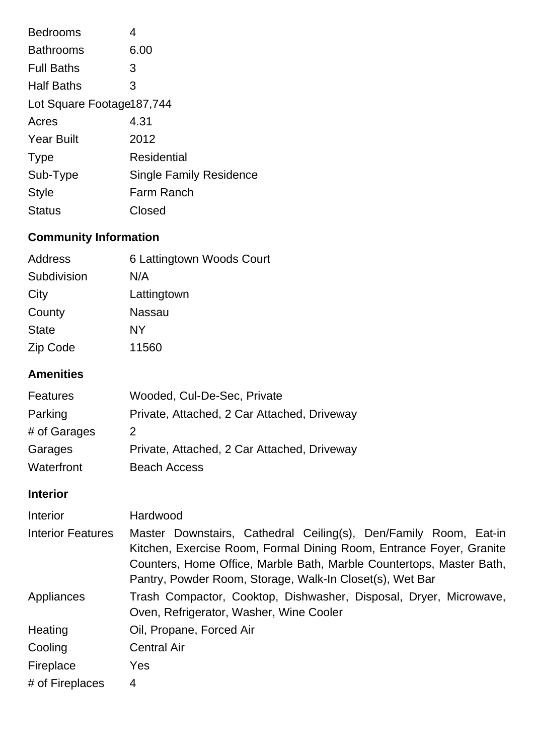| <b>Bedrooms</b>           | 4                              |
|---------------------------|--------------------------------|
| <b>Bathrooms</b>          | 6.00                           |
| <b>Full Baths</b>         | 3                              |
| <b>Half Baths</b>         | 3                              |
| Lot Square Footage187,744 |                                |
| Acres                     | 4.31                           |
| <b>Year Built</b>         | 2012                           |
| <b>Type</b>               | Residential                    |
| Sub-Type                  | <b>Single Family Residence</b> |
| <b>Style</b>              | <b>Farm Ranch</b>              |
| <b>Status</b>             | Closed                         |

## **Community Information**

| Address      | 6 Lattingtown Woods Court |
|--------------|---------------------------|
| Subdivision  | N/A                       |
| City         | Lattingtown               |
| County       | Nassau                    |
| <b>State</b> | NΥ                        |
| Zip Code     | 11560                     |

## **Amenities**

| <b>Features</b> | Wooded, Cul-De-Sec, Private                 |
|-----------------|---------------------------------------------|
| Parking         | Private, Attached, 2 Car Attached, Driveway |
| # of Garages    | 2.                                          |
| Garages         | Private, Attached, 2 Car Attached, Driveway |
| Waterfront      | <b>Beach Access</b>                         |

## **Interior**

| <b>Interior</b>          | Hardwood                                                                                                                                                                                                                                                                    |
|--------------------------|-----------------------------------------------------------------------------------------------------------------------------------------------------------------------------------------------------------------------------------------------------------------------------|
| <b>Interior Features</b> | Master Downstairs, Cathedral Ceiling(s), Den/Family Room, Eat-in<br>Kitchen, Exercise Room, Formal Dining Room, Entrance Foyer, Granite<br>Counters, Home Office, Marble Bath, Marble Countertops, Master Bath,<br>Pantry, Powder Room, Storage, Walk-In Closet(s), Wet Bar |
| Appliances               | Trash Compactor, Cooktop, Dishwasher, Disposal, Dryer, Microwave,<br>Oven, Refrigerator, Washer, Wine Cooler                                                                                                                                                                |
| Heating                  | Oil, Propane, Forced Air                                                                                                                                                                                                                                                    |
| Cooling                  | <b>Central Air</b>                                                                                                                                                                                                                                                          |
| Fireplace                | Yes                                                                                                                                                                                                                                                                         |
| # of Fireplaces          | 4                                                                                                                                                                                                                                                                           |